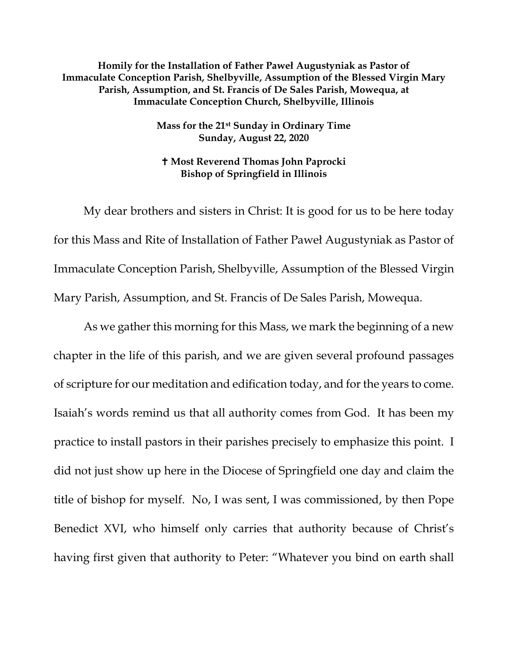**Homily for the Installation of Father Paweł Augustyniak as Pastor of Immaculate Conception Parish, Shelbyville, Assumption of the Blessed Virgin Mary Parish, Assumption, and St. Francis of De Sales Parish, Mowequa, at Immaculate Conception Church, Shelbyville, Illinois**

> **Mass for the 21st Sunday in Ordinary Time Sunday, August 22, 2020**

 **Most Reverend Thomas John Paprocki Bishop of Springfield in Illinois**

My dear brothers and sisters in Christ: It is good for us to be here today for this Mass and Rite of Installation of Father Paweł Augustyniak as Pastor of Immaculate Conception Parish, Shelbyville, Assumption of the Blessed Virgin Mary Parish, Assumption, and St. Francis of De Sales Parish, Mowequa.

As we gather this morning for this Mass, we mark the beginning of a new chapter in the life of this parish, and we are given several profound passages of scripture for our meditation and edification today, and for the years to come. Isaiah's words remind us that all authority comes from God. It has been my practice to install pastors in their parishes precisely to emphasize this point. I did not just show up here in the Diocese of Springfield one day and claim the title of bishop for myself. No, I was sent, I was commissioned, by then Pope Benedict XVI, who himself only carries that authority because of Christ's having first given that authority to Peter: "Whatever you bind on earth shall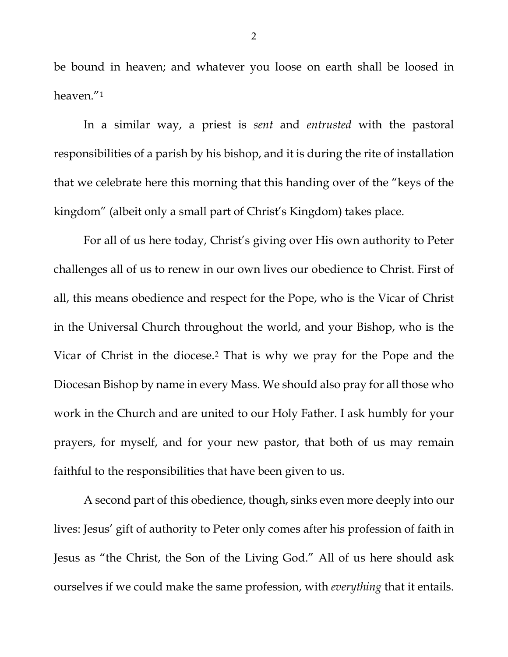be bound in heaven; and whatever you loose on earth shall be loosed in heaven."[1](#page-6-0)

In a similar way, a priest is *sent* and *entrusted* with the pastoral responsibilities of a parish by his bishop, and it is during the rite of installation that we celebrate here this morning that this handing over of the "keys of the kingdom" (albeit only a small part of Christ's Kingdom) takes place.

For all of us here today, Christ's giving over His own authority to Peter challenges all of us to renew in our own lives our obedience to Christ. First of all, this means obedience and respect for the Pope, who is the Vicar of Christ in the Universal Church throughout the world, and your Bishop, who is the Vicar of Christ in the diocese.[2](#page-6-1) That is why we pray for the Pope and the Diocesan Bishop by name in every Mass. We should also pray for all those who work in the Church and are united to our Holy Father. I ask humbly for your prayers, for myself, and for your new pastor, that both of us may remain faithful to the responsibilities that have been given to us.

A second part of this obedience, though, sinks even more deeply into our lives: Jesus' gift of authority to Peter only comes after his profession of faith in Jesus as "the Christ, the Son of the Living God." All of us here should ask ourselves if we could make the same profession, with *everything* that it entails.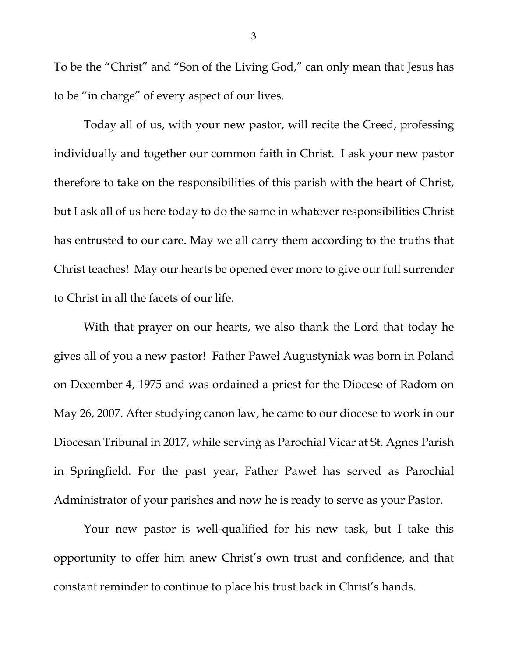To be the "Christ" and "Son of the Living God," can only mean that Jesus has to be "in charge" of every aspect of our lives.

Today all of us, with your new pastor, will recite the Creed, professing individually and together our common faith in Christ. I ask your new pastor therefore to take on the responsibilities of this parish with the heart of Christ, but I ask all of us here today to do the same in whatever responsibilities Christ has entrusted to our care. May we all carry them according to the truths that Christ teaches! May our hearts be opened ever more to give our full surrender to Christ in all the facets of our life.

With that prayer on our hearts, we also thank the Lord that today he gives all of you a new pastor! Father Paweł Augustyniak was born in Poland on December 4, 1975 and was ordained a priest for the Diocese of Radom on May 26, 2007. After studying canon law, he came to our diocese to work in our Diocesan Tribunal in 2017, while serving as Parochial Vicar at St. Agnes Parish in Springfield. For the past year, Father Paweł has served as Parochial Administrator of your parishes and now he is ready to serve as your Pastor.

Your new pastor is well-qualified for his new task, but I take this opportunity to offer him anew Christ's own trust and confidence, and that constant reminder to continue to place his trust back in Christ's hands.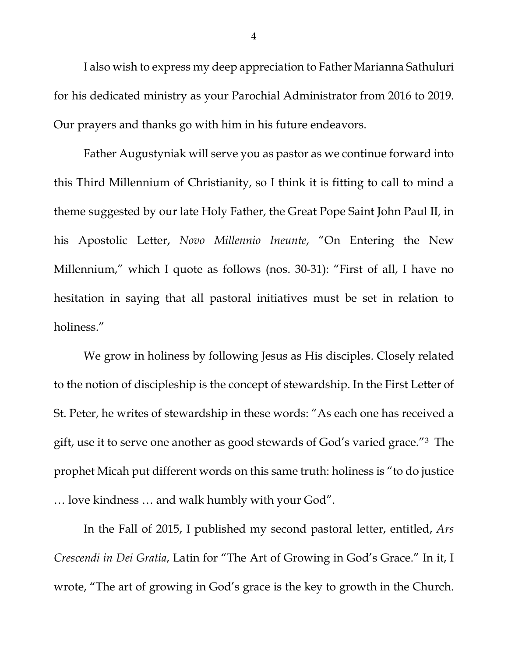I also wish to express my deep appreciation to Father Marianna Sathuluri for his dedicated ministry as your Parochial Administrator from 2016 to 2019. Our prayers and thanks go with him in his future endeavors.

Father Augustyniak will serve you as pastor as we continue forward into this Third Millennium of Christianity, so I think it is fitting to call to mind a theme suggested by our late Holy Father, the Great Pope Saint John Paul II, in his Apostolic Letter, *Novo Millennio Ineunte*, "On Entering the New Millennium," which I quote as follows (nos. 30-31): "First of all, I have no hesitation in saying that all pastoral initiatives must be set in relation to holiness."

We grow in holiness by following Jesus as His disciples. Closely related to the notion of discipleship is the concept of stewardship. In the First Letter of St. Peter, he writes of stewardship in these words: "As each one has received a gift, use it to serve one another as good stewards of God's varied grace."[3](#page-6-2) The prophet Micah put different words on this same truth: holiness is "to do justice … love kindness … and walk humbly with your God".

In the Fall of 2015, I published my second pastoral letter, entitled, *Ars Crescendi in Dei Gratia*, Latin for "The Art of Growing in God's Grace." In it, I wrote, "The art of growing in God's grace is the key to growth in the Church.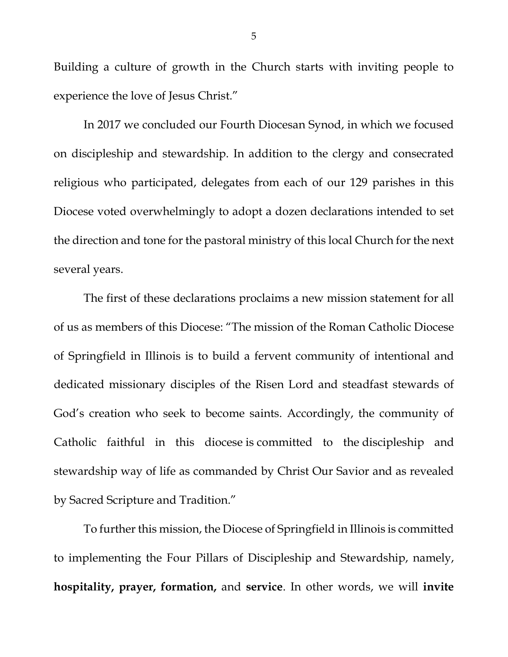Building a culture of growth in the Church starts with inviting people to experience the love of Jesus Christ."

In 2017 we concluded our Fourth Diocesan Synod, in which we focused on discipleship and stewardship. In addition to the clergy and consecrated religious who participated, delegates from each of our 129 parishes in this Diocese voted overwhelmingly to adopt a dozen declarations intended to set the direction and tone for the pastoral ministry of this local Church for the next several years.

The first of these declarations proclaims a new mission statement for all of us as members of this Diocese: "The mission of the Roman Catholic Diocese of Springfield in Illinois is to build a fervent community of intentional and dedicated missionary disciples of the Risen Lord and steadfast stewards of God's creation who seek to become saints. Accordingly, the community of Catholic faithful in this diocese is committed to the discipleship and stewardship way of life as commanded by Christ Our Savior and as revealed by Sacred Scripture and Tradition."

To further this mission, the Diocese of Springfield in Illinois is committed to implementing the Four Pillars of Discipleship and Stewardship, namely, **hospitality, prayer, formation,** and **service**. In other words, we will **invite**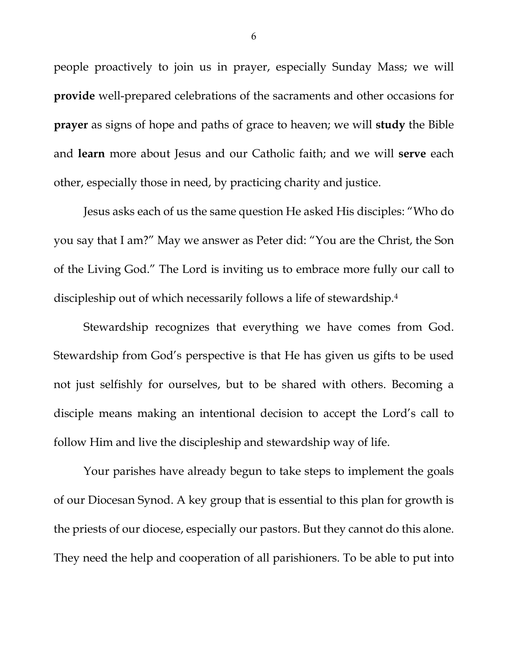people proactively to join us in prayer, especially Sunday Mass; we will **provide** well-prepared celebrations of the sacraments and other occasions for **prayer** as signs of hope and paths of grace to heaven; we will **study** the Bible and **learn** more about Jesus and our Catholic faith; and we will **serve** each other, especially those in need, by practicing charity and justice.

Jesus asks each of us the same question He asked His disciples: "Who do you say that I am?" May we answer as Peter did: "You are the Christ, the Son of the Living God." The Lord is inviting us to embrace more fully our call to discipleship out of which necessarily follows a life of stewardship[.4](#page-6-3)

Stewardship recognizes that everything we have comes from God. Stewardship from God's perspective is that He has given us gifts to be used not just selfishly for ourselves, but to be shared with others. Becoming a disciple means making an intentional decision to accept the Lord's call to follow Him and live the discipleship and stewardship way of life.

Your parishes have already begun to take steps to implement the goals of our Diocesan Synod. A key group that is essential to this plan for growth is the priests of our diocese, especially our pastors. But they cannot do this alone. They need the help and cooperation of all parishioners. To be able to put into

6